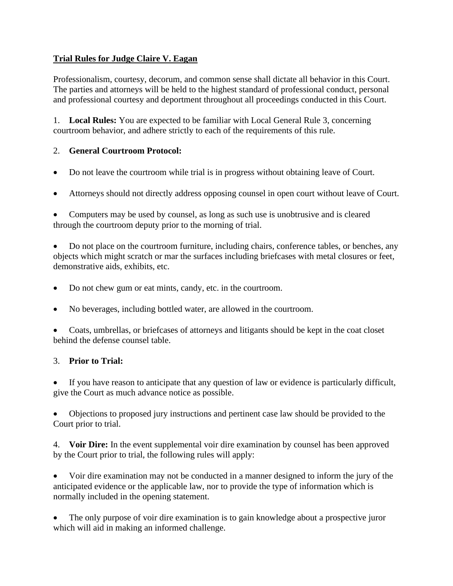## **Trial Rules for Judge Claire V. Eagan**

Professionalism, courtesy, decorum, and common sense shall dictate all behavior in this Court. The parties and attorneys will be held to the highest standard of professional conduct, personal and professional courtesy and deportment throughout all proceedings conducted in this Court.

1. **Local Rules:** You are expected to be familiar with Local General Rule 3, concerning courtroom behavior, and adhere strictly to each of the requirements of this rule.

## 2. **General Courtroom Protocol:**

- Do not leave the courtroom while trial is in progress without obtaining leave of Court.
- Attorneys should not directly address opposing counsel in open court without leave of Court.

• Computers may be used by counsel, as long as such use is unobtrusive and is cleared through the courtroom deputy prior to the morning of trial.

• Do not place on the courtroom furniture, including chairs, conference tables, or benches, any objects which might scratch or mar the surfaces including briefcases with metal closures or feet, demonstrative aids, exhibits, etc.

- Do not chew gum or eat mints, candy, etc. in the courtroom.
- No beverages, including bottled water, are allowed in the courtroom.

• Coats, umbrellas, or briefcases of attorneys and litigants should be kept in the coat closet behind the defense counsel table.

#### 3. **Prior to Trial:**

If you have reason to anticipate that any question of law or evidence is particularly difficult, give the Court as much advance notice as possible.

• Objections to proposed jury instructions and pertinent case law should be provided to the Court prior to trial.

4. **Voir Dire:** In the event supplemental voir dire examination by counsel has been approved by the Court prior to trial, the following rules will apply:

• Voir dire examination may not be conducted in a manner designed to inform the jury of the anticipated evidence or the applicable law, nor to provide the type of information which is normally included in the opening statement.

• The only purpose of voir dire examination is to gain knowledge about a prospective juror which will aid in making an informed challenge.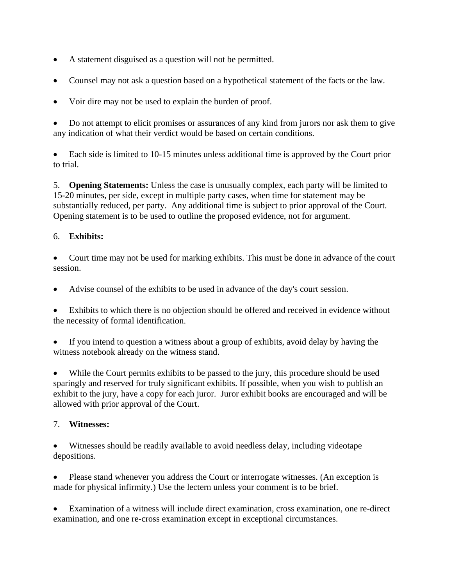- A statement disguised as a question will not be permitted.
- Counsel may not ask a question based on a hypothetical statement of the facts or the law.
- Voir dire may not be used to explain the burden of proof.

• Do not attempt to elicit promises or assurances of any kind from jurors nor ask them to give any indication of what their verdict would be based on certain conditions.

• Each side is limited to 10-15 minutes unless additional time is approved by the Court prior to trial.

5. **Opening Statements:** Unless the case is unusually complex, each party will be limited to 15-20 minutes, per side, except in multiple party cases, when time for statement may be substantially reduced, per party. Any additional time is subject to prior approval of the Court. Opening statement is to be used to outline the proposed evidence, not for argument.

#### 6. **Exhibits:**

• Court time may not be used for marking exhibits. This must be done in advance of the court session.

• Advise counsel of the exhibits to be used in advance of the day's court session.

Exhibits to which there is no objection should be offered and received in evidence without the necessity of formal identification.

If you intend to question a witness about a group of exhibits, avoid delay by having the witness notebook already on the witness stand.

While the Court permits exhibits to be passed to the jury, this procedure should be used sparingly and reserved for truly significant exhibits. If possible, when you wish to publish an exhibit to the jury, have a copy for each juror. Juror exhibit books are encouraged and will be allowed with prior approval of the Court.

#### 7. **Witnesses:**

Witnesses should be readily available to avoid needless delay, including videotape depositions.

• Please stand whenever you address the Court or interrogate witnesses. (An exception is made for physical infirmity.) Use the lectern unless your comment is to be brief.

• Examination of a witness will include direct examination, cross examination, one re-direct examination, and one re-cross examination except in exceptional circumstances.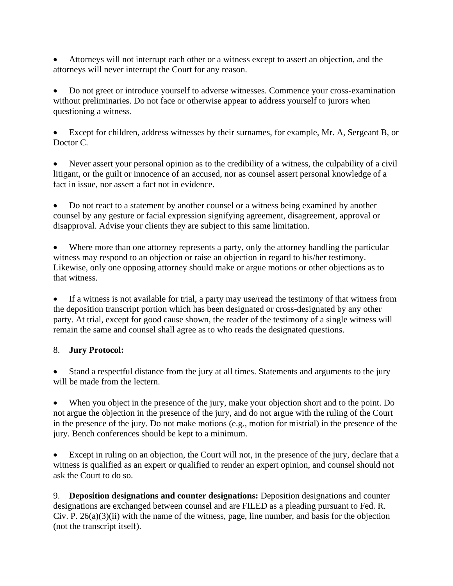• Attorneys will not interrupt each other or a witness except to assert an objection, and the attorneys will never interrupt the Court for any reason.

• Do not greet or introduce yourself to adverse witnesses. Commence your cross-examination without preliminaries. Do not face or otherwise appear to address yourself to jurors when questioning a witness.

• Except for children, address witnesses by their surnames, for example, Mr. A, Sergeant B, or Doctor C.

• Never assert your personal opinion as to the credibility of a witness, the culpability of a civil litigant, or the guilt or innocence of an accused, nor as counsel assert personal knowledge of a fact in issue, nor assert a fact not in evidence.

• Do not react to a statement by another counsel or a witness being examined by another counsel by any gesture or facial expression signifying agreement, disagreement, approval or disapproval. Advise your clients they are subject to this same limitation.

Where more than one attorney represents a party, only the attorney handling the particular witness may respond to an objection or raise an objection in regard to his/her testimony. Likewise, only one opposing attorney should make or argue motions or other objections as to that witness.

If a witness is not available for trial, a party may use/read the testimony of that witness from the deposition transcript portion which has been designated or cross-designated by any other party. At trial, except for good cause shown, the reader of the testimony of a single witness will remain the same and counsel shall agree as to who reads the designated questions.

#### 8. **Jury Protocol:**

Stand a respectful distance from the jury at all times. Statements and arguments to the jury will be made from the lectern.

When you object in the presence of the jury, make your objection short and to the point. Do not argue the objection in the presence of the jury, and do not argue with the ruling of the Court in the presence of the jury. Do not make motions (e.g., motion for mistrial) in the presence of the jury. Bench conferences should be kept to a minimum.

Except in ruling on an objection, the Court will not, in the presence of the jury, declare that a witness is qualified as an expert or qualified to render an expert opinion, and counsel should not ask the Court to do so.

9. **Deposition designations and counter designations:** Deposition designations and counter designations are exchanged between counsel and are FILED as a pleading pursuant to Fed. R. Civ. P.  $26(a)(3)(ii)$  with the name of the witness, page, line number, and basis for the objection (not the transcript itself).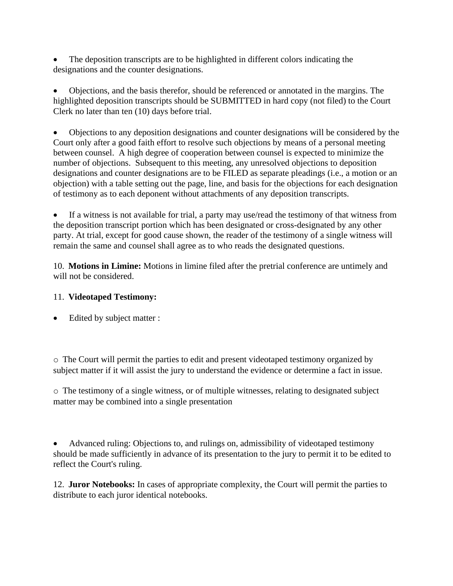The deposition transcripts are to be highlighted in different colors indicating the designations and the counter designations.

• Objections, and the basis therefor, should be referenced or annotated in the margins. The highlighted deposition transcripts should be SUBMITTED in hard copy (not filed) to the Court Clerk no later than ten (10) days before trial.

• Objections to any deposition designations and counter designations will be considered by the Court only after a good faith effort to resolve such objections by means of a personal meeting between counsel. A high degree of cooperation between counsel is expected to minimize the number of objections. Subsequent to this meeting, any unresolved objections to deposition designations and counter designations are to be FILED as separate pleadings (i.e., a motion or an objection) with a table setting out the page, line, and basis for the objections for each designation of testimony as to each deponent without attachments of any deposition transcripts.

If a witness is not available for trial, a party may use/read the testimony of that witness from the deposition transcript portion which has been designated or cross-designated by any other party. At trial, except for good cause shown, the reader of the testimony of a single witness will remain the same and counsel shall agree as to who reads the designated questions.

10. **Motions in Limine:** Motions in limine filed after the pretrial conference are untimely and will not be considered.

# 11. **Videotaped Testimony:**

Edited by subject matter :

o The Court will permit the parties to edit and present videotaped testimony organized by subject matter if it will assist the jury to understand the evidence or determine a fact in issue.

o The testimony of a single witness, or of multiple witnesses, relating to designated subject matter may be combined into a single presentation

• Advanced ruling: Objections to, and rulings on, admissibility of videotaped testimony should be made sufficiently in advance of its presentation to the jury to permit it to be edited to reflect the Court's ruling.

12. **Juror Notebooks:** In cases of appropriate complexity, the Court will permit the parties to distribute to each juror identical notebooks.